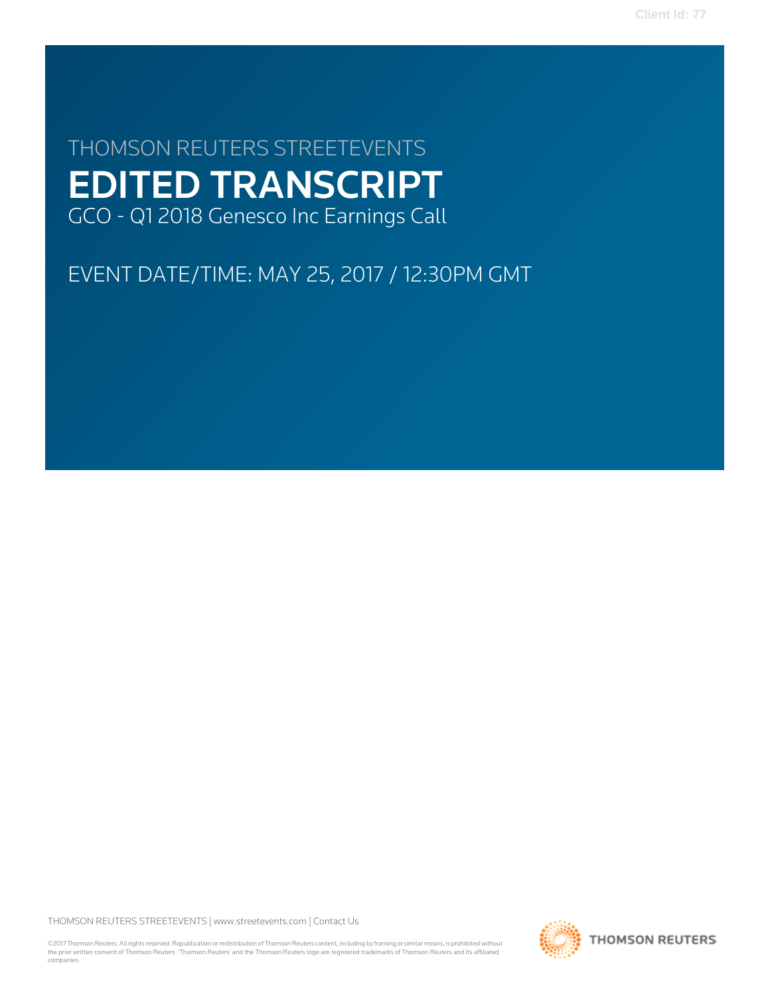**Client Id: 77**

# THOMSON REUTERS STREETEVENTS EDITED TRANSCRIPT GCO - Q1 2018 Genesco Inc Earnings Call

EVENT DATE/TIME: MAY 25, 2017 / 12:30PM GMT

THOMSON REUTERS STREETEVENTS | [www.streetevents.com](http://www.streetevents.com) | [Contact Us](http://www010.streetevents.com/contact.asp)

©2017 Thomson Reuters. All rights reserved. Republication or redistribution of Thomson Reuters content, including by framing or similar means, is prohibited without the prior written consent of Thomson Reuters. 'Thomson Reuters' and the Thomson Reuters logo are registered trademarks of Thomson Reuters and its affiliated companies.

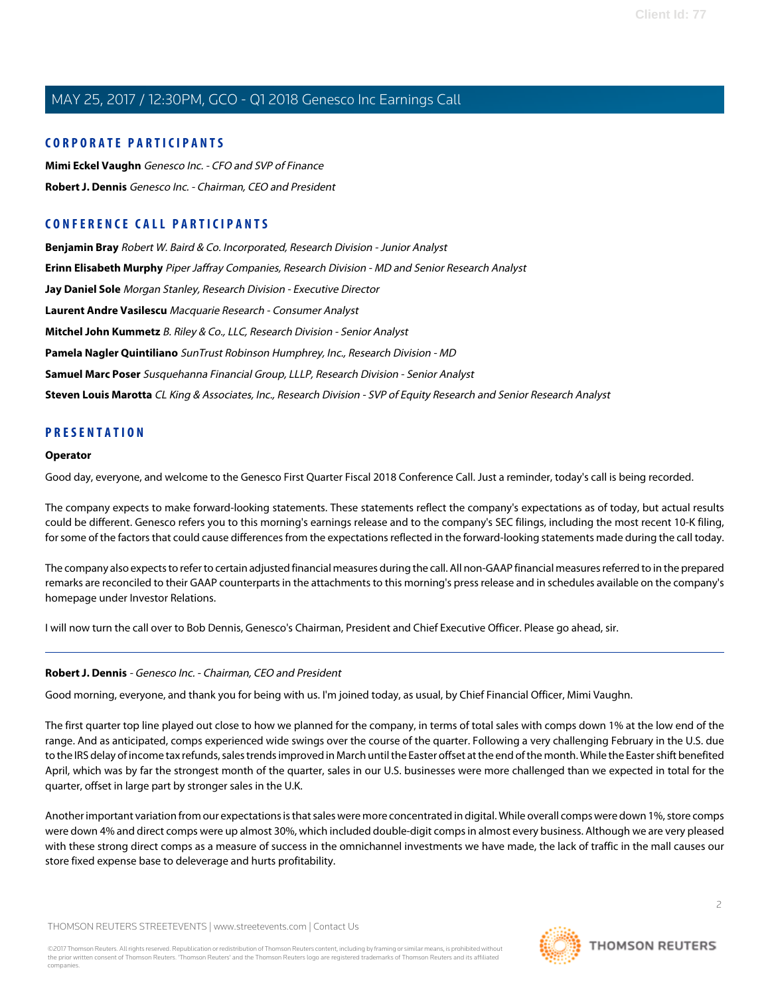#### **CORPORATE PARTICIPANTS**

**[Mimi Eckel Vaughn](#page-3-0)** Genesco Inc. - CFO and SVP of Finance **[Robert J. Dennis](#page-1-0)** Genesco Inc. - Chairman, CEO and President

### **CONFERENCE CALL PARTICIPANTS**

**[Benjamin Bray](#page-13-0)** Robert W. Baird & Co. Incorporated, Research Division - Junior Analyst **[Erinn Elisabeth Murphy](#page-7-0)** Piper Jaffray Companies, Research Division - MD and Senior Research Analyst **[Jay Daniel Sole](#page-10-0)** Morgan Stanley, Research Division - Executive Director **[Laurent Andre Vasilescu](#page-10-1)** Macquarie Research - Consumer Analyst **[Mitchel John Kummetz](#page-11-0)** B. Riley & Co., LLC, Research Division - Senior Analyst **[Pamela Nagler Quintiliano](#page-8-0)** SunTrust Robinson Humphrey, Inc., Research Division - MD **[Samuel Marc Poser](#page-12-0)** Susquehanna Financial Group, LLLP, Research Division - Senior Analyst **[Steven Louis Marotta](#page-12-1)** CL King & Associates, Inc., Research Division - SVP of Equity Research and Senior Research Analyst

#### **PRESENTATION**

#### **Operator**

Good day, everyone, and welcome to the Genesco First Quarter Fiscal 2018 Conference Call. Just a reminder, today's call is being recorded.

The company expects to make forward-looking statements. These statements reflect the company's expectations as of today, but actual results could be different. Genesco refers you to this morning's earnings release and to the company's SEC filings, including the most recent 10-K filing, for some of the factors that could cause differences from the expectations reflected in the forward-looking statements made during the call today.

The company also expects to refer to certain adjusted financial measures during the call. All non-GAAP financial measures referred to in the prepared remarks are reconciled to their GAAP counterparts in the attachments to this morning's press release and in schedules available on the company's homepage under Investor Relations.

<span id="page-1-0"></span>I will now turn the call over to Bob Dennis, Genesco's Chairman, President and Chief Executive Officer. Please go ahead, sir.

#### **Robert J. Dennis** - Genesco Inc. - Chairman, CEO and President

Good morning, everyone, and thank you for being with us. I'm joined today, as usual, by Chief Financial Officer, Mimi Vaughn.

The first quarter top line played out close to how we planned for the company, in terms of total sales with comps down 1% at the low end of the range. And as anticipated, comps experienced wide swings over the course of the quarter. Following a very challenging February in the U.S. due to the IRS delay of income tax refunds, sales trends improved in March until the Easter offset at the end of the month. While the Easter shift benefited April, which was by far the strongest month of the quarter, sales in our U.S. businesses were more challenged than we expected in total for the quarter, offset in large part by stronger sales in the U.K.

Another important variation from our expectations is that sales were more concentrated in digital. While overall comps were down 1%, store comps were down 4% and direct comps were up almost 30%, which included double-digit comps in almost every business. Although we are very pleased with these strong direct comps as a measure of success in the omnichannel investments we have made, the lack of traffic in the mall causes our store fixed expense base to deleverage and hurts profitability.

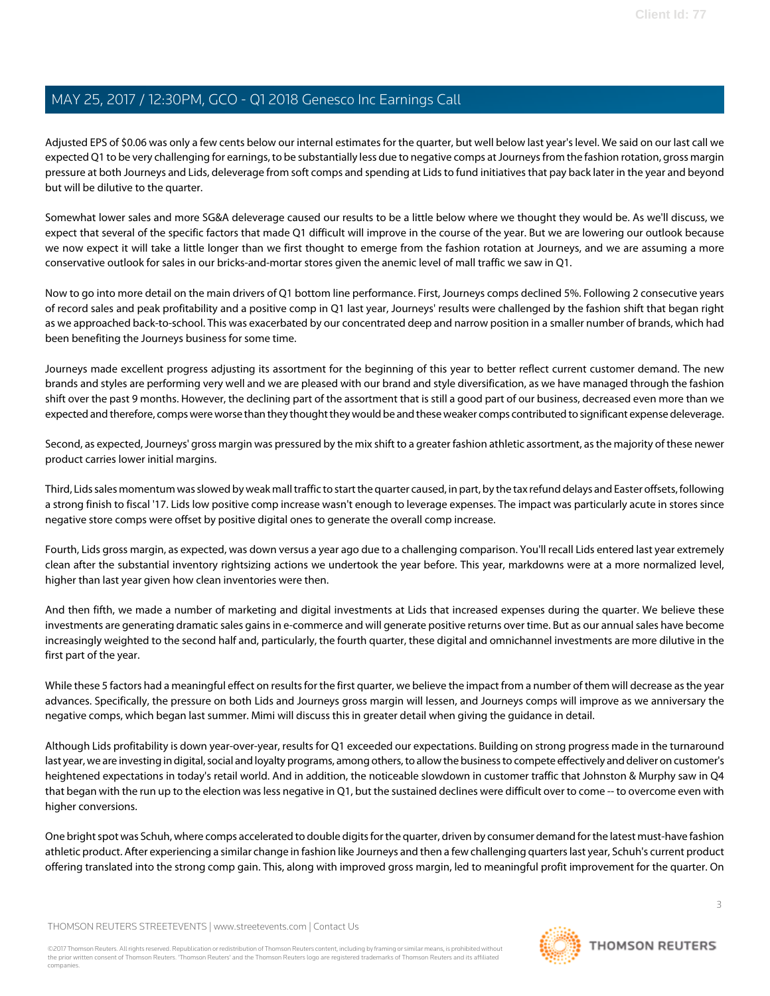Adjusted EPS of \$0.06 was only a few cents below our internal estimates for the quarter, but well below last year's level. We said on our last call we expected Q1 to be very challenging for earnings, to be substantially less due to negative comps at Journeys from the fashion rotation, gross margin pressure at both Journeys and Lids, deleverage from soft comps and spending at Lids to fund initiatives that pay back later in the year and beyond but will be dilutive to the quarter.

Somewhat lower sales and more SG&A deleverage caused our results to be a little below where we thought they would be. As we'll discuss, we expect that several of the specific factors that made Q1 difficult will improve in the course of the year. But we are lowering our outlook because we now expect it will take a little longer than we first thought to emerge from the fashion rotation at Journeys, and we are assuming a more conservative outlook for sales in our bricks-and-mortar stores given the anemic level of mall traffic we saw in Q1.

Now to go into more detail on the main drivers of Q1 bottom line performance. First, Journeys comps declined 5%. Following 2 consecutive years of record sales and peak profitability and a positive comp in Q1 last year, Journeys' results were challenged by the fashion shift that began right as we approached back-to-school. This was exacerbated by our concentrated deep and narrow position in a smaller number of brands, which had been benefiting the Journeys business for some time.

Journeys made excellent progress adjusting its assortment for the beginning of this year to better reflect current customer demand. The new brands and styles are performing very well and we are pleased with our brand and style diversification, as we have managed through the fashion shift over the past 9 months. However, the declining part of the assortment that is still a good part of our business, decreased even more than we expected and therefore, comps were worse than they thought they would be and these weaker comps contributed to significant expense deleverage.

Second, as expected, Journeys' gross margin was pressured by the mix shift to a greater fashion athletic assortment, as the majority of these newer product carries lower initial margins.

Third, Lids sales momentum was slowed by weak mall traffic to start the quarter caused, in part, by the tax refund delays and Easter offsets, following a strong finish to fiscal '17. Lids low positive comp increase wasn't enough to leverage expenses. The impact was particularly acute in stores since negative store comps were offset by positive digital ones to generate the overall comp increase.

Fourth, Lids gross margin, as expected, was down versus a year ago due to a challenging comparison. You'll recall Lids entered last year extremely clean after the substantial inventory rightsizing actions we undertook the year before. This year, markdowns were at a more normalized level, higher than last year given how clean inventories were then.

And then fifth, we made a number of marketing and digital investments at Lids that increased expenses during the quarter. We believe these investments are generating dramatic sales gains in e-commerce and will generate positive returns over time. But as our annual sales have become increasingly weighted to the second half and, particularly, the fourth quarter, these digital and omnichannel investments are more dilutive in the first part of the year.

While these 5 factors had a meaningful effect on results for the first quarter, we believe the impact from a number of them will decrease as the year advances. Specifically, the pressure on both Lids and Journeys gross margin will lessen, and Journeys comps will improve as we anniversary the negative comps, which began last summer. Mimi will discuss this in greater detail when giving the guidance in detail.

Although Lids profitability is down year-over-year, results for Q1 exceeded our expectations. Building on strong progress made in the turnaround last year, we are investing in digital, social and loyalty programs, among others, to allow the business to compete effectively and deliver on customer's heightened expectations in today's retail world. And in addition, the noticeable slowdown in customer traffic that Johnston & Murphy saw in Q4 that began with the run up to the election was less negative in Q1, but the sustained declines were difficult over to come -- to overcome even with higher conversions.

One bright spot was Schuh, where comps accelerated to double digits for the quarter, driven by consumer demand for the latest must-have fashion athletic product. After experiencing a similar change in fashion like Journeys and then a few challenging quarters last year, Schuh's current product offering translated into the strong comp gain. This, along with improved gross margin, led to meaningful profit improvement for the quarter. On

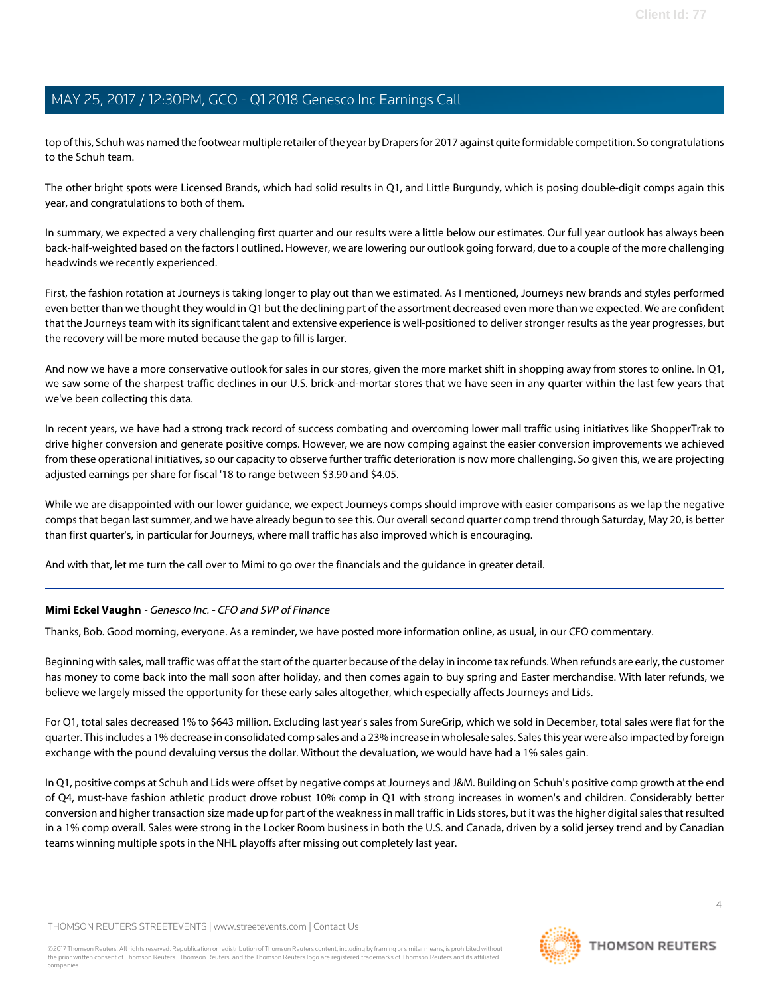top of this, Schuh was named the footwear multiple retailer of the year by Drapers for 2017 against quite formidable competition. So congratulations to the Schuh team.

The other bright spots were Licensed Brands, which had solid results in Q1, and Little Burgundy, which is posing double-digit comps again this year, and congratulations to both of them.

In summary, we expected a very challenging first quarter and our results were a little below our estimates. Our full year outlook has always been back-half-weighted based on the factors I outlined. However, we are lowering our outlook going forward, due to a couple of the more challenging headwinds we recently experienced.

First, the fashion rotation at Journeys is taking longer to play out than we estimated. As I mentioned, Journeys new brands and styles performed even better than we thought they would in Q1 but the declining part of the assortment decreased even more than we expected. We are confident that the Journeys team with its significant talent and extensive experience is well-positioned to deliver stronger results as the year progresses, but the recovery will be more muted because the gap to fill is larger.

And now we have a more conservative outlook for sales in our stores, given the more market shift in shopping away from stores to online. In Q1, we saw some of the sharpest traffic declines in our U.S. brick-and-mortar stores that we have seen in any quarter within the last few years that we've been collecting this data.

In recent years, we have had a strong track record of success combating and overcoming lower mall traffic using initiatives like ShopperTrak to drive higher conversion and generate positive comps. However, we are now comping against the easier conversion improvements we achieved from these operational initiatives, so our capacity to observe further traffic deterioration is now more challenging. So given this, we are projecting adjusted earnings per share for fiscal '18 to range between \$3.90 and \$4.05.

While we are disappointed with our lower quidance, we expect Journeys comps should improve with easier comparisons as we lap the negative comps that began last summer, and we have already begun to see this. Our overall second quarter comp trend through Saturday, May 20, is better than first quarter's, in particular for Journeys, where mall traffic has also improved which is encouraging.

<span id="page-3-0"></span>And with that, let me turn the call over to Mimi to go over the financials and the guidance in greater detail.

#### **Mimi Eckel Vaughn** - Genesco Inc. - CFO and SVP of Finance

Thanks, Bob. Good morning, everyone. As a reminder, we have posted more information online, as usual, in our CFO commentary.

Beginning with sales, mall traffic was off at the start of the quarter because of the delay in income tax refunds. When refunds are early, the customer has money to come back into the mall soon after holiday, and then comes again to buy spring and Easter merchandise. With later refunds, we believe we largely missed the opportunity for these early sales altogether, which especially affects Journeys and Lids.

For Q1, total sales decreased 1% to \$643 million. Excluding last year's sales from SureGrip, which we sold in December, total sales were flat for the quarter. This includes a 1% decrease in consolidated comp sales and a 23% increase in wholesale sales. Sales this year were also impacted by foreign exchange with the pound devaluing versus the dollar. Without the devaluation, we would have had a 1% sales gain.

In Q1, positive comps at Schuh and Lids were offset by negative comps at Journeys and J&M. Building on Schuh's positive comp growth at the end of Q4, must-have fashion athletic product drove robust 10% comp in Q1 with strong increases in women's and children. Considerably better conversion and higher transaction size made up for part of the weakness in mall traffic in Lids stores, but it was the higher digital sales that resulted in a 1% comp overall. Sales were strong in the Locker Room business in both the U.S. and Canada, driven by a solid jersey trend and by Canadian teams winning multiple spots in the NHL playoffs after missing out completely last year.

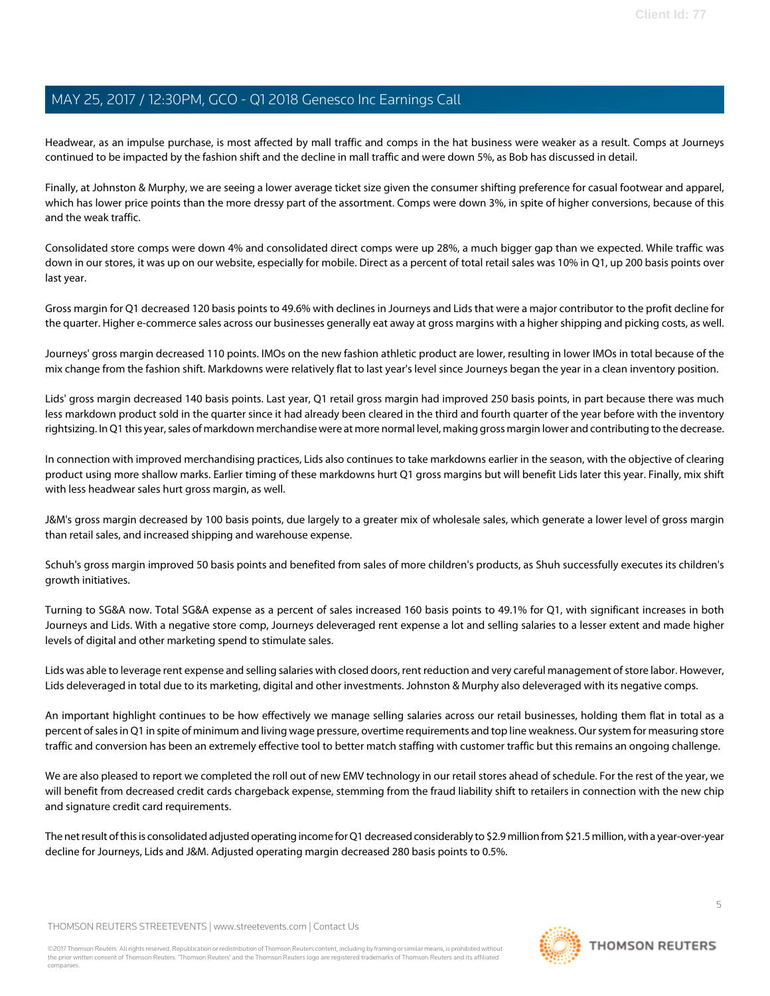Headwear, as an impulse purchase, is most affected by mall traffic and comps in the hat business were weaker as a result. Comps at Journeys continued to be impacted by the fashion shift and the decline in mall traffic and were down 5%, as Bob has discussed in detail.

Finally, at Johnston & Murphy, we are seeing a lower average ticket size given the consumer shifting preference for casual footwear and apparel, which has lower price points than the more dressy part of the assortment. Comps were down 3%, in spite of higher conversions, because of this and the weak traffic.

Consolidated store comps were down 4% and consolidated direct comps were up 28%, a much bigger gap than we expected. While traffic was down in our stores, it was up on our website, especially for mobile. Direct as a percent of total retail sales was 10% in Q1, up 200 basis points over last year.

Gross margin for Q1 decreased 120 basis points to 49.6% with declines in Journeys and Lids that were a major contributor to the profit decline for the quarter. Higher e-commerce sales across our businesses generally eat away at gross margins with a higher shipping and picking costs, as well.

Journeys' gross margin decreased 110 points. IMOs on the new fashion athletic product are lower, resulting in lower IMOs in total because of the mix change from the fashion shift. Markdowns were relatively flat to last year's level since Journeys began the year in a clean inventory position.

Lids' gross margin decreased 140 basis points. Last year, Q1 retail gross margin had improved 250 basis points, in part because there was much less markdown product sold in the quarter since it had already been cleared in the third and fourth quarter of the year before with the inventory rightsizing. In Q1 this year, sales of markdown merchandise were at more normal level, making gross margin lower and contributing to the decrease.

In connection with improved merchandising practices, Lids also continues to take markdowns earlier in the season, with the objective of clearing product using more shallow marks. Earlier timing of these markdowns hurt Q1 gross margins but will benefit Lids later this year. Finally, mix shift with less headwear sales hurt gross margin, as well.

J&M's gross margin decreased by 100 basis points, due largely to a greater mix of wholesale sales, which generate a lower level of gross margin than retail sales, and increased shipping and warehouse expense.

Schuh's gross margin improved 50 basis points and benefited from sales of more children's products, as Shuh successfully executes its children's growth initiatives.

Turning to SG&A now. Total SG&A expense as a percent of sales increased 160 basis points to 49.1% for Q1, with significant increases in both Journeys and Lids. With a negative store comp, Journeys deleveraged rent expense a lot and selling salaries to a lesser extent and made higher levels of digital and other marketing spend to stimulate sales.

Lids was able to leverage rent expense and selling salaries with closed doors, rent reduction and very careful management of store labor. However, Lids deleveraged in total due to its marketing, digital and other investments. Johnston & Murphy also deleveraged with its negative comps.

An important highlight continues to be how effectively we manage selling salaries across our retail businesses, holding them flat in total as a percent of sales in Q1 in spite of minimum and living wage pressure, overtime requirements and top line weakness. Our system for measuring store traffic and conversion has been an extremely effective tool to better match staffing with customer traffic but this remains an ongoing challenge.

We are also pleased to report we completed the roll out of new EMV technology in our retail stores ahead of schedule. For the rest of the year, we will benefit from decreased credit cards chargeback expense, stemming from the fraud liability shift to retailers in connection with the new chip and signature credit card requirements.

The net result of this is consolidated adjusted operating income for Q1 decreased considerably to \$2.9 million from \$21.5 million, with a year-over-year decline for Journeys, Lids and J&M. Adjusted operating margin decreased 280 basis points to 0.5%.

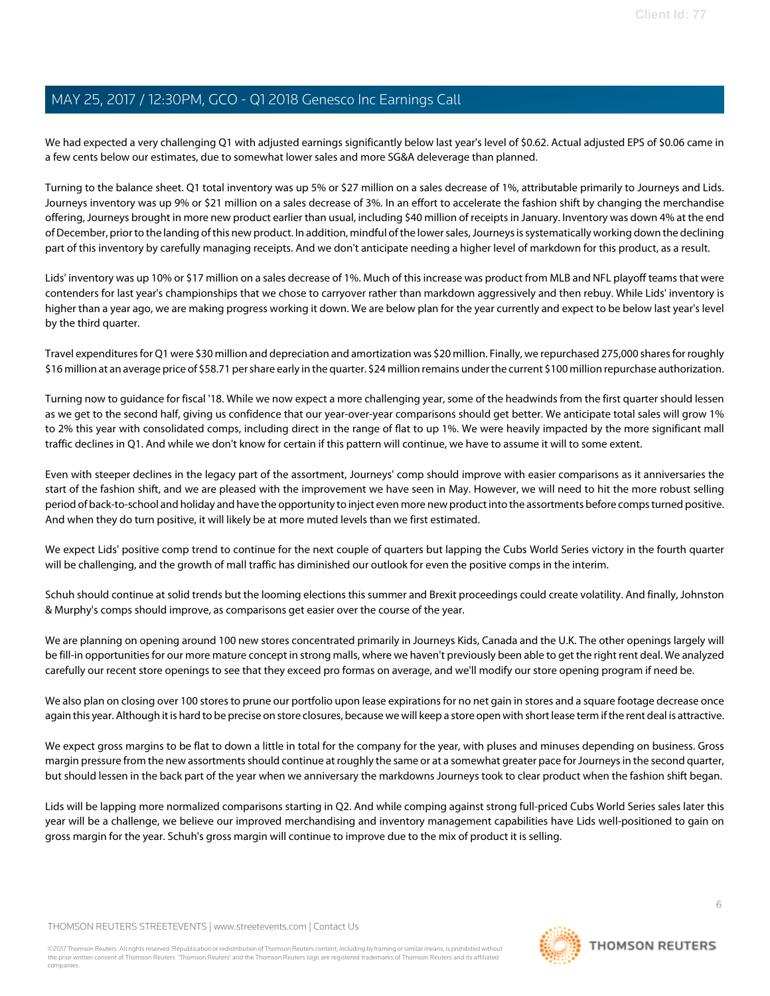We had expected a very challenging Q1 with adjusted earnings significantly below last year's level of \$0.62. Actual adjusted EPS of \$0.06 came in a few cents below our estimates, due to somewhat lower sales and more SG&A deleverage than planned.

Turning to the balance sheet. Q1 total inventory was up 5% or \$27 million on a sales decrease of 1%, attributable primarily to Journeys and Lids. Journeys inventory was up 9% or \$21 million on a sales decrease of 3%. In an effort to accelerate the fashion shift by changing the merchandise offering, Journeys brought in more new product earlier than usual, including \$40 million of receipts in January. Inventory was down 4% at the end of December, prior to the landing of this new product. In addition, mindful of the lower sales, Journeys is systematically working down the declining part of this inventory by carefully managing receipts. And we don't anticipate needing a higher level of markdown for this product, as a result.

Lids' inventory was up 10% or \$17 million on a sales decrease of 1%. Much of this increase was product from MLB and NFL playoff teams that were contenders for last year's championships that we chose to carryover rather than markdown aggressively and then rebuy. While Lids' inventory is higher than a year ago, we are making progress working it down. We are below plan for the year currently and expect to be below last year's level by the third quarter.

Travel expenditures for Q1 were \$30 million and depreciation and amortization was \$20 million. Finally, we repurchased 275,000 shares for roughly \$16 million at an average price of \$58.71 per share early in the quarter. \$24 million remains under the current \$100 million repurchase authorization.

Turning now to guidance for fiscal '18. While we now expect a more challenging year, some of the headwinds from the first quarter should lessen as we get to the second half, giving us confidence that our year-over-year comparisons should get better. We anticipate total sales will grow 1% to 2% this year with consolidated comps, including direct in the range of flat to up 1%. We were heavily impacted by the more significant mall traffic declines in Q1. And while we don't know for certain if this pattern will continue, we have to assume it will to some extent.

Even with steeper declines in the legacy part of the assortment, Journeys' comp should improve with easier comparisons as it anniversaries the start of the fashion shift, and we are pleased with the improvement we have seen in May. However, we will need to hit the more robust selling period of back-to-school and holiday and have the opportunity to inject even more new product into the assortments before comps turned positive. And when they do turn positive, it will likely be at more muted levels than we first estimated.

We expect Lids' positive comp trend to continue for the next couple of quarters but lapping the Cubs World Series victory in the fourth quarter will be challenging, and the growth of mall traffic has diminished our outlook for even the positive comps in the interim.

Schuh should continue at solid trends but the looming elections this summer and Brexit proceedings could create volatility. And finally, Johnston & Murphy's comps should improve, as comparisons get easier over the course of the year.

We are planning on opening around 100 new stores concentrated primarily in Journeys Kids, Canada and the U.K. The other openings largely will be fill-in opportunities for our more mature concept in strong malls, where we haven't previously been able to get the right rent deal. We analyzed carefully our recent store openings to see that they exceed pro formas on average, and we'll modify our store opening program if need be.

We also plan on closing over 100 stores to prune our portfolio upon lease expirations for no net gain in stores and a square footage decrease once again this year. Although it is hard to be precise on store closures, because we will keep a store open with short lease term if the rent deal is attractive.

We expect gross margins to be flat to down a little in total for the company for the year, with pluses and minuses depending on business. Gross margin pressure from the new assortments should continue at roughly the same or at a somewhat greater pace for Journeys in the second quarter, but should lessen in the back part of the year when we anniversary the markdowns Journeys took to clear product when the fashion shift began.

Lids will be lapping more normalized comparisons starting in Q2. And while comping against strong full-priced Cubs World Series sales later this year will be a challenge, we believe our improved merchandising and inventory management capabilities have Lids well-positioned to gain on gross margin for the year. Schuh's gross margin will continue to improve due to the mix of product it is selling.

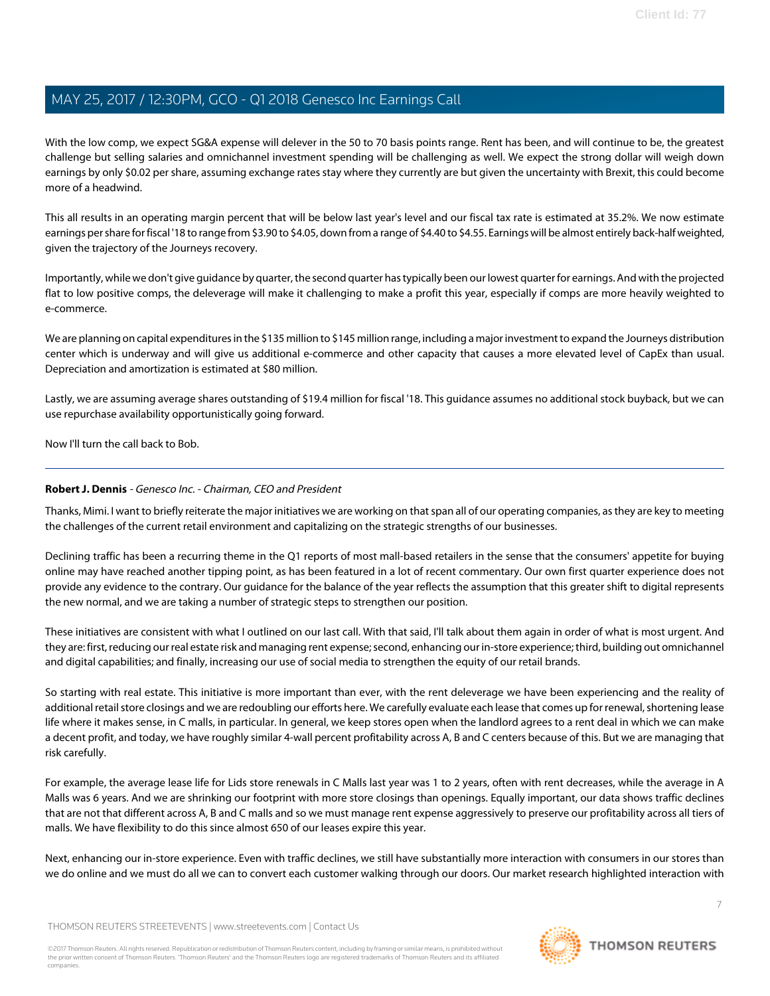With the low comp, we expect SG&A expense will delever in the 50 to 70 basis points range. Rent has been, and will continue to be, the greatest challenge but selling salaries and omnichannel investment spending will be challenging as well. We expect the strong dollar will weigh down earnings by only \$0.02 per share, assuming exchange rates stay where they currently are but given the uncertainty with Brexit, this could become more of a headwind.

This all results in an operating margin percent that will be below last year's level and our fiscal tax rate is estimated at 35.2%. We now estimate earnings per share for fiscal '18 to range from \$3.90 to \$4.05, down from a range of \$4.40 to \$4.55. Earnings will be almost entirely back-half weighted, given the trajectory of the Journeys recovery.

Importantly, while we don't give guidance by quarter, the second quarter has typically been our lowest quarter for earnings. And with the projected flat to low positive comps, the deleverage will make it challenging to make a profit this year, especially if comps are more heavily weighted to e-commerce.

We are planning on capital expenditures in the \$135 million to \$145 million range, including a major investment to expand the Journeys distribution center which is underway and will give us additional e-commerce and other capacity that causes a more elevated level of CapEx than usual. Depreciation and amortization is estimated at \$80 million.

Lastly, we are assuming average shares outstanding of \$19.4 million for fiscal '18. This guidance assumes no additional stock buyback, but we can use repurchase availability opportunistically going forward.

Now I'll turn the call back to Bob.

#### **Robert J. Dennis** - Genesco Inc. - Chairman, CEO and President

Thanks, Mimi. I want to briefly reiterate the major initiatives we are working on that span all of our operating companies, as they are key to meeting the challenges of the current retail environment and capitalizing on the strategic strengths of our businesses.

Declining traffic has been a recurring theme in the Q1 reports of most mall-based retailers in the sense that the consumers' appetite for buying online may have reached another tipping point, as has been featured in a lot of recent commentary. Our own first quarter experience does not provide any evidence to the contrary. Our guidance for the balance of the year reflects the assumption that this greater shift to digital represents the new normal, and we are taking a number of strategic steps to strengthen our position.

These initiatives are consistent with what I outlined on our last call. With that said, I'll talk about them again in order of what is most urgent. And they are: first, reducing our real estate risk and managing rent expense; second, enhancing our in-store experience; third, building out omnichannel and digital capabilities; and finally, increasing our use of social media to strengthen the equity of our retail brands.

So starting with real estate. This initiative is more important than ever, with the rent deleverage we have been experiencing and the reality of additional retail store closings and we are redoubling our efforts here. We carefully evaluate each lease that comes up for renewal, shortening lease life where it makes sense, in C malls, in particular. In general, we keep stores open when the landlord agrees to a rent deal in which we can make a decent profit, and today, we have roughly similar 4-wall percent profitability across A, B and C centers because of this. But we are managing that risk carefully.

For example, the average lease life for Lids store renewals in C Malls last year was 1 to 2 years, often with rent decreases, while the average in A Malls was 6 years. And we are shrinking our footprint with more store closings than openings. Equally important, our data shows traffic declines that are not that different across A, B and C malls and so we must manage rent expense aggressively to preserve our profitability across all tiers of malls. We have flexibility to do this since almost 650 of our leases expire this year.

Next, enhancing our in-store experience. Even with traffic declines, we still have substantially more interaction with consumers in our stores than we do online and we must do all we can to convert each customer walking through our doors. Our market research highlighted interaction with

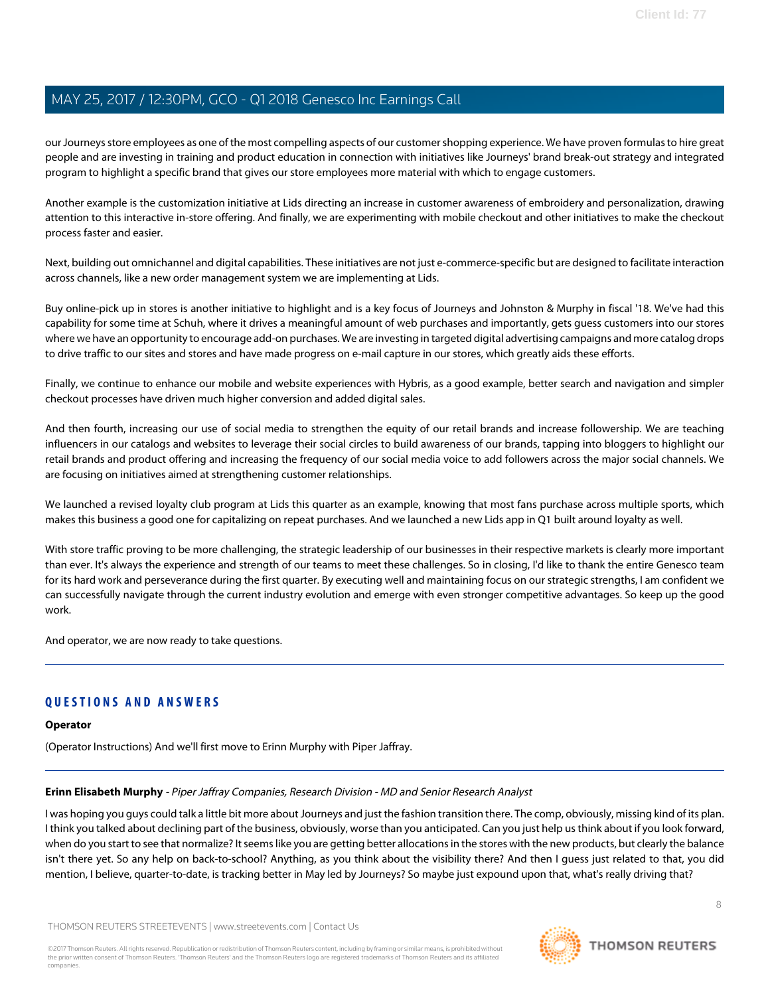our Journeys store employees as one of the most compelling aspects of our customer shopping experience. We have proven formulas to hire great people and are investing in training and product education in connection with initiatives like Journeys' brand break-out strategy and integrated program to highlight a specific brand that gives our store employees more material with which to engage customers.

Another example is the customization initiative at Lids directing an increase in customer awareness of embroidery and personalization, drawing attention to this interactive in-store offering. And finally, we are experimenting with mobile checkout and other initiatives to make the checkout process faster and easier.

Next, building out omnichannel and digital capabilities. These initiatives are not just e-commerce-specific but are designed to facilitate interaction across channels, like a new order management system we are implementing at Lids.

Buy online-pick up in stores is another initiative to highlight and is a key focus of Journeys and Johnston & Murphy in fiscal '18. We've had this capability for some time at Schuh, where it drives a meaningful amount of web purchases and importantly, gets guess customers into our stores where we have an opportunity to encourage add-on purchases. We are investing in targeted digital advertising campaigns and more catalog drops to drive traffic to our sites and stores and have made progress on e-mail capture in our stores, which greatly aids these efforts.

Finally, we continue to enhance our mobile and website experiences with Hybris, as a good example, better search and navigation and simpler checkout processes have driven much higher conversion and added digital sales.

And then fourth, increasing our use of social media to strengthen the equity of our retail brands and increase followership. We are teaching influencers in our catalogs and websites to leverage their social circles to build awareness of our brands, tapping into bloggers to highlight our retail brands and product offering and increasing the frequency of our social media voice to add followers across the major social channels. We are focusing on initiatives aimed at strengthening customer relationships.

We launched a revised loyalty club program at Lids this quarter as an example, knowing that most fans purchase across multiple sports, which makes this business a good one for capitalizing on repeat purchases. And we launched a new Lids app in Q1 built around loyalty as well.

With store traffic proving to be more challenging, the strategic leadership of our businesses in their respective markets is clearly more important than ever. It's always the experience and strength of our teams to meet these challenges. So in closing, I'd like to thank the entire Genesco team for its hard work and perseverance during the first quarter. By executing well and maintaining focus on our strategic strengths, I am confident we can successfully navigate through the current industry evolution and emerge with even stronger competitive advantages. So keep up the good work.

And operator, we are now ready to take questions.

### **QUESTIONS AND ANSWERS**

#### <span id="page-7-0"></span>**Operator**

(Operator Instructions) And we'll first move to Erinn Murphy with Piper Jaffray.

#### **Erinn Elisabeth Murphy** - Piper Jaffray Companies, Research Division - MD and Senior Research Analyst

I was hoping you guys could talk a little bit more about Journeys and just the fashion transition there. The comp, obviously, missing kind of its plan. I think you talked about declining part of the business, obviously, worse than you anticipated. Can you just help us think about if you look forward, when do you start to see that normalize? It seems like you are getting better allocations in the stores with the new products, but clearly the balance isn't there yet. So any help on back-to-school? Anything, as you think about the visibility there? And then I guess just related to that, you did mention, I believe, quarter-to-date, is tracking better in May led by Journeys? So maybe just expound upon that, what's really driving that?

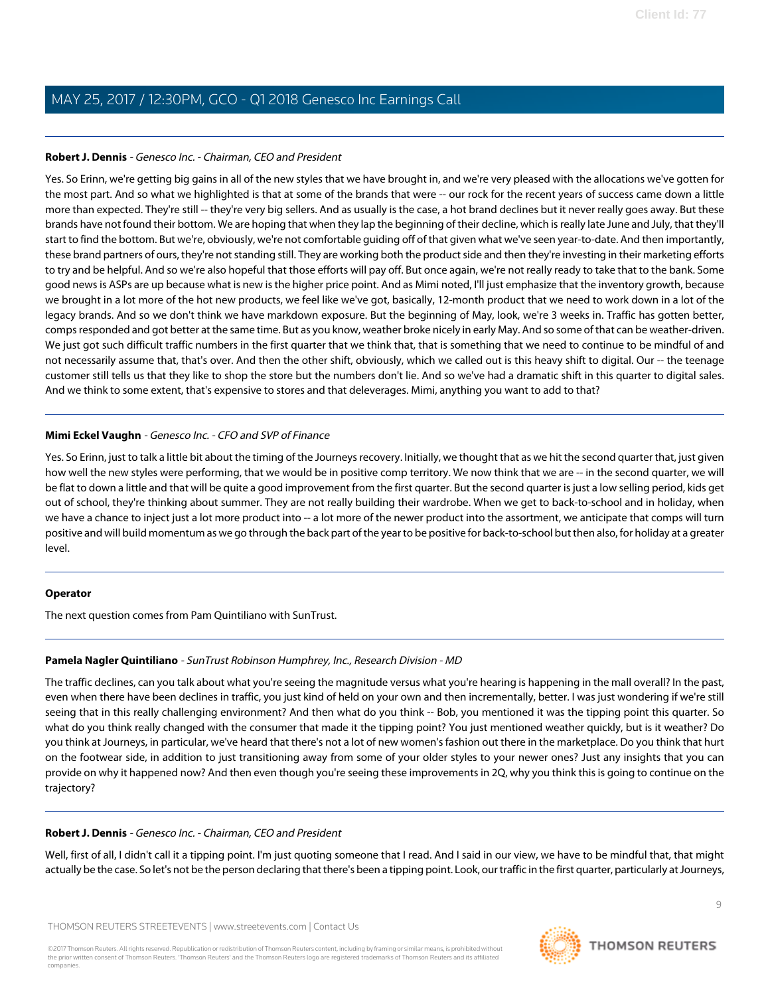#### **Robert J. Dennis** - Genesco Inc. - Chairman, CEO and President

Yes. So Erinn, we're getting big gains in all of the new styles that we have brought in, and we're very pleased with the allocations we've gotten for the most part. And so what we highlighted is that at some of the brands that were -- our rock for the recent years of success came down a little more than expected. They're still -- they're very big sellers. And as usually is the case, a hot brand declines but it never really goes away. But these brands have not found their bottom. We are hoping that when they lap the beginning of their decline, which is really late June and July, that they'll start to find the bottom. But we're, obviously, we're not comfortable guiding off of that given what we've seen year-to-date. And then importantly, these brand partners of ours, they're not standing still. They are working both the product side and then they're investing in their marketing efforts to try and be helpful. And so we're also hopeful that those efforts will pay off. But once again, we're not really ready to take that to the bank. Some good news is ASPs are up because what is new is the higher price point. And as Mimi noted, I'll just emphasize that the inventory growth, because we brought in a lot more of the hot new products, we feel like we've got, basically, 12-month product that we need to work down in a lot of the legacy brands. And so we don't think we have markdown exposure. But the beginning of May, look, we're 3 weeks in. Traffic has gotten better, comps responded and got better at the same time. But as you know, weather broke nicely in early May. And so some of that can be weather-driven. We just got such difficult traffic numbers in the first quarter that we think that, that is something that we need to continue to be mindful of and not necessarily assume that, that's over. And then the other shift, obviously, which we called out is this heavy shift to digital. Our -- the teenage customer still tells us that they like to shop the store but the numbers don't lie. And so we've had a dramatic shift in this quarter to digital sales. And we think to some extent, that's expensive to stores and that deleverages. Mimi, anything you want to add to that?

#### **Mimi Eckel Vaughn** - Genesco Inc. - CFO and SVP of Finance

Yes. So Erinn, just to talk a little bit about the timing of the Journeys recovery. Initially, we thought that as we hit the second quarter that, just given how well the new styles were performing, that we would be in positive comp territory. We now think that we are -- in the second quarter, we will be flat to down a little and that will be quite a good improvement from the first quarter. But the second quarter is just a low selling period, kids get out of school, they're thinking about summer. They are not really building their wardrobe. When we get to back-to-school and in holiday, when we have a chance to inject just a lot more product into -- a lot more of the newer product into the assortment, we anticipate that comps will turn positive and will build momentum as we go through the back part of the year to be positive for back-to-school but then also, for holiday at a greater level.

#### <span id="page-8-0"></span>**Operator**

The next question comes from Pam Quintiliano with SunTrust.

#### **Pamela Nagler Quintiliano** - SunTrust Robinson Humphrey, Inc., Research Division - MD

The traffic declines, can you talk about what you're seeing the magnitude versus what you're hearing is happening in the mall overall? In the past, even when there have been declines in traffic, you just kind of held on your own and then incrementally, better. I was just wondering if we're still seeing that in this really challenging environment? And then what do you think -- Bob, you mentioned it was the tipping point this quarter. So what do you think really changed with the consumer that made it the tipping point? You just mentioned weather quickly, but is it weather? Do you think at Journeys, in particular, we've heard that there's not a lot of new women's fashion out there in the marketplace. Do you think that hurt on the footwear side, in addition to just transitioning away from some of your older styles to your newer ones? Just any insights that you can provide on why it happened now? And then even though you're seeing these improvements in 2Q, why you think this is going to continue on the trajectory?

#### **Robert J. Dennis** - Genesco Inc. - Chairman, CEO and President

Well, first of all, I didn't call it a tipping point. I'm just quoting someone that I read. And I said in our view, we have to be mindful that, that might actually be the case. So let's not be the person declaring that there's been a tipping point. Look, our traffic in the first quarter, particularly at Journeys,

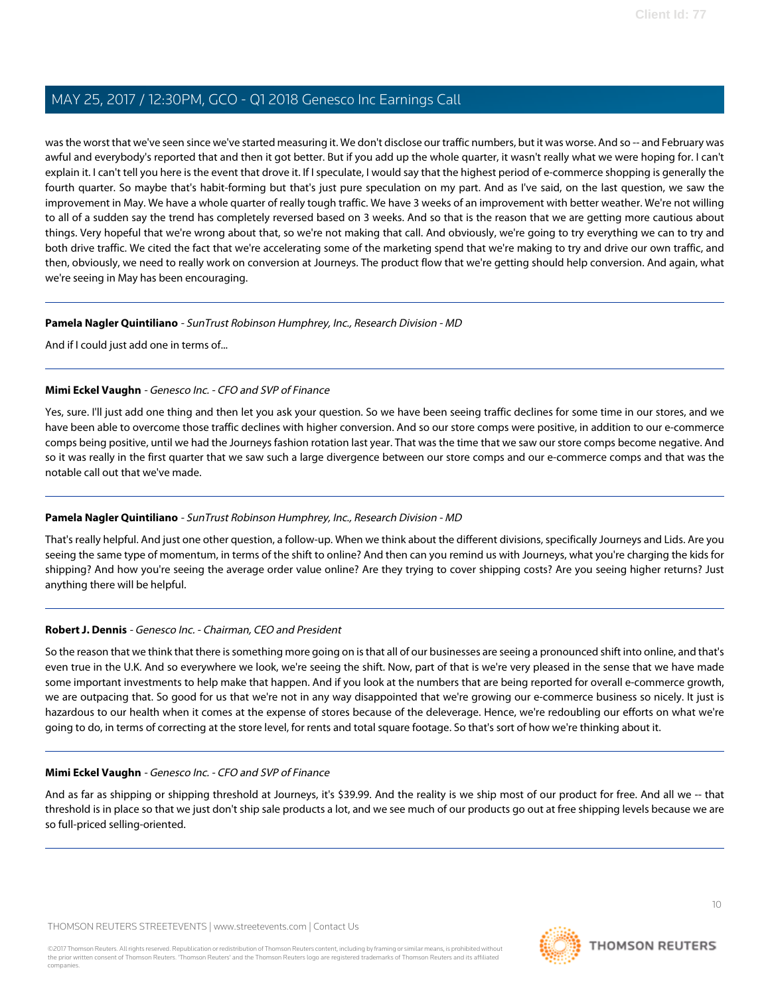was the worst that we've seen since we've started measuring it. We don't disclose our traffic numbers, but it was worse. And so -- and February was awful and everybody's reported that and then it got better. But if you add up the whole quarter, it wasn't really what we were hoping for. I can't explain it. I can't tell you here is the event that drove it. If I speculate, I would say that the highest period of e-commerce shopping is generally the fourth quarter. So maybe that's habit-forming but that's just pure speculation on my part. And as I've said, on the last question, we saw the improvement in May. We have a whole quarter of really tough traffic. We have 3 weeks of an improvement with better weather. We're not willing to all of a sudden say the trend has completely reversed based on 3 weeks. And so that is the reason that we are getting more cautious about things. Very hopeful that we're wrong about that, so we're not making that call. And obviously, we're going to try everything we can to try and both drive traffic. We cited the fact that we're accelerating some of the marketing spend that we're making to try and drive our own traffic, and then, obviously, we need to really work on conversion at Journeys. The product flow that we're getting should help conversion. And again, what we're seeing in May has been encouraging.

#### **Pamela Nagler Quintiliano** - SunTrust Robinson Humphrey, Inc., Research Division - MD

And if I could just add one in terms of...

#### **Mimi Eckel Vaughn** - Genesco Inc. - CFO and SVP of Finance

Yes, sure. I'll just add one thing and then let you ask your question. So we have been seeing traffic declines for some time in our stores, and we have been able to overcome those traffic declines with higher conversion. And so our store comps were positive, in addition to our e-commerce comps being positive, until we had the Journeys fashion rotation last year. That was the time that we saw our store comps become negative. And so it was really in the first quarter that we saw such a large divergence between our store comps and our e-commerce comps and that was the notable call out that we've made.

#### **Pamela Nagler Quintiliano** - SunTrust Robinson Humphrey, Inc., Research Division - MD

That's really helpful. And just one other question, a follow-up. When we think about the different divisions, specifically Journeys and Lids. Are you seeing the same type of momentum, in terms of the shift to online? And then can you remind us with Journeys, what you're charging the kids for shipping? And how you're seeing the average order value online? Are they trying to cover shipping costs? Are you seeing higher returns? Just anything there will be helpful.

#### **Robert J. Dennis** - Genesco Inc. - Chairman, CEO and President

So the reason that we think that there is something more going on is that all of our businesses are seeing a pronounced shift into online, and that's even true in the U.K. And so everywhere we look, we're seeing the shift. Now, part of that is we're very pleased in the sense that we have made some important investments to help make that happen. And if you look at the numbers that are being reported for overall e-commerce growth, we are outpacing that. So good for us that we're not in any way disappointed that we're growing our e-commerce business so nicely. It just is hazardous to our health when it comes at the expense of stores because of the deleverage. Hence, we're redoubling our efforts on what we're going to do, in terms of correcting at the store level, for rents and total square footage. So that's sort of how we're thinking about it.

#### **Mimi Eckel Vaughn** - Genesco Inc. - CFO and SVP of Finance

And as far as shipping or shipping threshold at Journeys, it's \$39.99. And the reality is we ship most of our product for free. And all we -- that threshold is in place so that we just don't ship sale products a lot, and we see much of our products go out at free shipping levels because we are so full-priced selling-oriented.

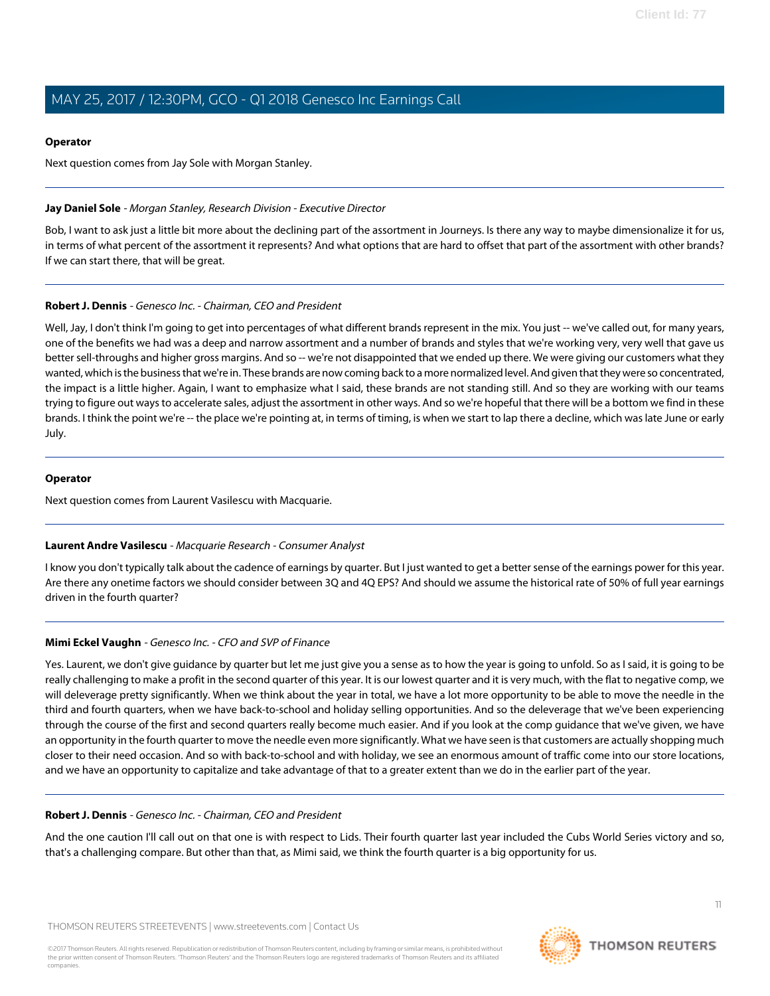#### **Operator**

Next question comes from Jay Sole with Morgan Stanley.

#### <span id="page-10-0"></span>**Jay Daniel Sole** - Morgan Stanley, Research Division - Executive Director

Bob, I want to ask just a little bit more about the declining part of the assortment in Journeys. Is there any way to maybe dimensionalize it for us, in terms of what percent of the assortment it represents? And what options that are hard to offset that part of the assortment with other brands? If we can start there, that will be great.

#### **Robert J. Dennis** - Genesco Inc. - Chairman, CEO and President

Well, Jay, I don't think I'm going to get into percentages of what different brands represent in the mix. You just -- we've called out, for many years, one of the benefits we had was a deep and narrow assortment and a number of brands and styles that we're working very, very well that gave us better sell-throughs and higher gross margins. And so -- we're not disappointed that we ended up there. We were giving our customers what they wanted, which is the business that we're in. These brands are now coming back to a more normalized level. And given that they were so concentrated, the impact is a little higher. Again, I want to emphasize what I said, these brands are not standing still. And so they are working with our teams trying to figure out ways to accelerate sales, adjust the assortment in other ways. And so we're hopeful that there will be a bottom we find in these brands. I think the point we're -- the place we're pointing at, in terms of timing, is when we start to lap there a decline, which was late June or early July.

#### **Operator**

<span id="page-10-1"></span>Next question comes from Laurent Vasilescu with Macquarie.

#### **Laurent Andre Vasilescu** - Macquarie Research - Consumer Analyst

I know you don't typically talk about the cadence of earnings by quarter. But I just wanted to get a better sense of the earnings power for this year. Are there any onetime factors we should consider between 3Q and 4Q EPS? And should we assume the historical rate of 50% of full year earnings driven in the fourth quarter?

#### **Mimi Eckel Vaughn** - Genesco Inc. - CFO and SVP of Finance

Yes. Laurent, we don't give guidance by quarter but let me just give you a sense as to how the year is going to unfold. So as I said, it is going to be really challenging to make a profit in the second quarter of this year. It is our lowest quarter and it is very much, with the flat to negative comp, we will deleverage pretty significantly. When we think about the year in total, we have a lot more opportunity to be able to move the needle in the third and fourth quarters, when we have back-to-school and holiday selling opportunities. And so the deleverage that we've been experiencing through the course of the first and second quarters really become much easier. And if you look at the comp guidance that we've given, we have an opportunity in the fourth quarter to move the needle even more significantly. What we have seen is that customers are actually shopping much closer to their need occasion. And so with back-to-school and with holiday, we see an enormous amount of traffic come into our store locations, and we have an opportunity to capitalize and take advantage of that to a greater extent than we do in the earlier part of the year.

#### **Robert J. Dennis** - Genesco Inc. - Chairman, CEO and President

And the one caution I'll call out on that one is with respect to Lids. Their fourth quarter last year included the Cubs World Series victory and so, that's a challenging compare. But other than that, as Mimi said, we think the fourth quarter is a big opportunity for us.

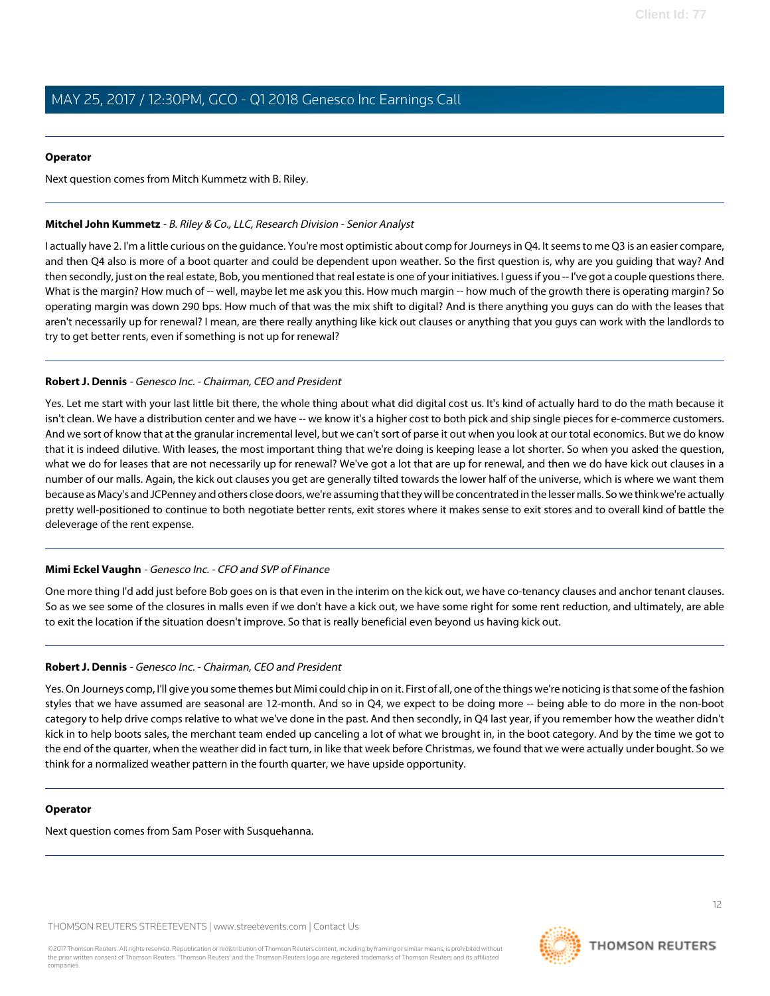#### **Operator**

Next question comes from Mitch Kummetz with B. Riley.

#### <span id="page-11-0"></span>**Mitchel John Kummetz** - B. Riley & Co., LLC, Research Division - Senior Analyst

I actually have 2. I'm a little curious on the guidance. You're most optimistic about comp for Journeys in Q4. It seems to me Q3 is an easier compare, and then Q4 also is more of a boot quarter and could be dependent upon weather. So the first question is, why are you guiding that way? And then secondly, just on the real estate, Bob, you mentioned that real estate is one of your initiatives. I guess if you -- I've got a couple questions there. What is the margin? How much of -- well, maybe let me ask you this. How much margin -- how much of the growth there is operating margin? So operating margin was down 290 bps. How much of that was the mix shift to digital? And is there anything you guys can do with the leases that aren't necessarily up for renewal? I mean, are there really anything like kick out clauses or anything that you guys can work with the landlords to try to get better rents, even if something is not up for renewal?

#### **Robert J. Dennis** - Genesco Inc. - Chairman, CEO and President

Yes. Let me start with your last little bit there, the whole thing about what did digital cost us. It's kind of actually hard to do the math because it isn't clean. We have a distribution center and we have -- we know it's a higher cost to both pick and ship single pieces for e-commerce customers. And we sort of know that at the granular incremental level, but we can't sort of parse it out when you look at our total economics. But we do know that it is indeed dilutive. With leases, the most important thing that we're doing is keeping lease a lot shorter. So when you asked the question, what we do for leases that are not necessarily up for renewal? We've got a lot that are up for renewal, and then we do have kick out clauses in a number of our malls. Again, the kick out clauses you get are generally tilted towards the lower half of the universe, which is where we want them because as Macy's and JCPenney and others close doors, we're assuming that they will be concentrated in the lesser malls. So we think we're actually pretty well-positioned to continue to both negotiate better rents, exit stores where it makes sense to exit stores and to overall kind of battle the deleverage of the rent expense.

#### **Mimi Eckel Vaughn** - Genesco Inc. - CFO and SVP of Finance

One more thing I'd add just before Bob goes on is that even in the interim on the kick out, we have co-tenancy clauses and anchor tenant clauses. So as we see some of the closures in malls even if we don't have a kick out, we have some right for some rent reduction, and ultimately, are able to exit the location if the situation doesn't improve. So that is really beneficial even beyond us having kick out.

#### **Robert J. Dennis** - Genesco Inc. - Chairman, CEO and President

Yes. On Journeys comp, I'll give you some themes but Mimi could chip in on it. First of all, one of the things we're noticing is that some of the fashion styles that we have assumed are seasonal are 12-month. And so in Q4, we expect to be doing more -- being able to do more in the non-boot category to help drive comps relative to what we've done in the past. And then secondly, in Q4 last year, if you remember how the weather didn't kick in to help boots sales, the merchant team ended up canceling a lot of what we brought in, in the boot category. And by the time we got to the end of the quarter, when the weather did in fact turn, in like that week before Christmas, we found that we were actually under bought. So we think for a normalized weather pattern in the fourth quarter, we have upside opportunity.

#### **Operator**

Next question comes from Sam Poser with Susquehanna.

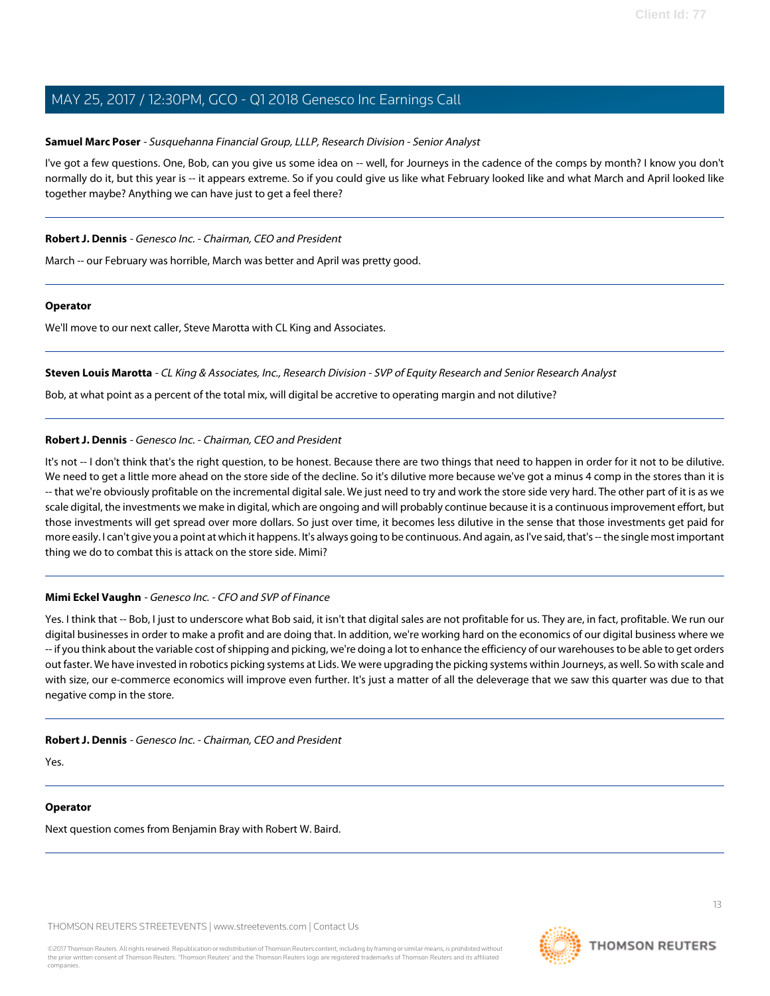#### <span id="page-12-0"></span>**Samuel Marc Poser** - Susquehanna Financial Group, LLLP, Research Division - Senior Analyst

I've got a few questions. One, Bob, can you give us some idea on -- well, for Journeys in the cadence of the comps by month? I know you don't normally do it, but this year is -- it appears extreme. So if you could give us like what February looked like and what March and April looked like together maybe? Anything we can have just to get a feel there?

#### **Robert J. Dennis** - Genesco Inc. - Chairman, CEO and President

March -- our February was horrible, March was better and April was pretty good.

#### **Operator**

<span id="page-12-1"></span>We'll move to our next caller, Steve Marotta with CL King and Associates.

#### **Steven Louis Marotta** - CL King & Associates, Inc., Research Division - SVP of Equity Research and Senior Research Analyst

Bob, at what point as a percent of the total mix, will digital be accretive to operating margin and not dilutive?

#### **Robert J. Dennis** - Genesco Inc. - Chairman, CEO and President

It's not -- I don't think that's the right question, to be honest. Because there are two things that need to happen in order for it not to be dilutive. We need to get a little more ahead on the store side of the decline. So it's dilutive more because we've got a minus 4 comp in the stores than it is -- that we're obviously profitable on the incremental digital sale. We just need to try and work the store side very hard. The other part of it is as we scale digital, the investments we make in digital, which are ongoing and will probably continue because it is a continuous improvement effort, but those investments will get spread over more dollars. So just over time, it becomes less dilutive in the sense that those investments get paid for more easily. I can't give you a point at which it happens. It's always going to be continuous. And again, as I've said, that's -- the single most important thing we do to combat this is attack on the store side. Mimi?

#### **Mimi Eckel Vaughn** - Genesco Inc. - CFO and SVP of Finance

Yes. I think that -- Bob, I just to underscore what Bob said, it isn't that digital sales are not profitable for us. They are, in fact, profitable. We run our digital businesses in order to make a profit and are doing that. In addition, we're working hard on the economics of our digital business where we -- if you think about the variable cost of shipping and picking, we're doing a lot to enhance the efficiency of our warehouses to be able to get orders out faster. We have invested in robotics picking systems at Lids. We were upgrading the picking systems within Journeys, as well. So with scale and with size, our e-commerce economics will improve even further. It's just a matter of all the deleverage that we saw this quarter was due to that negative comp in the store.

#### **Robert J. Dennis** - Genesco Inc. - Chairman, CEO and President

Yes.

#### **Operator**

Next question comes from Benjamin Bray with Robert W. Baird.

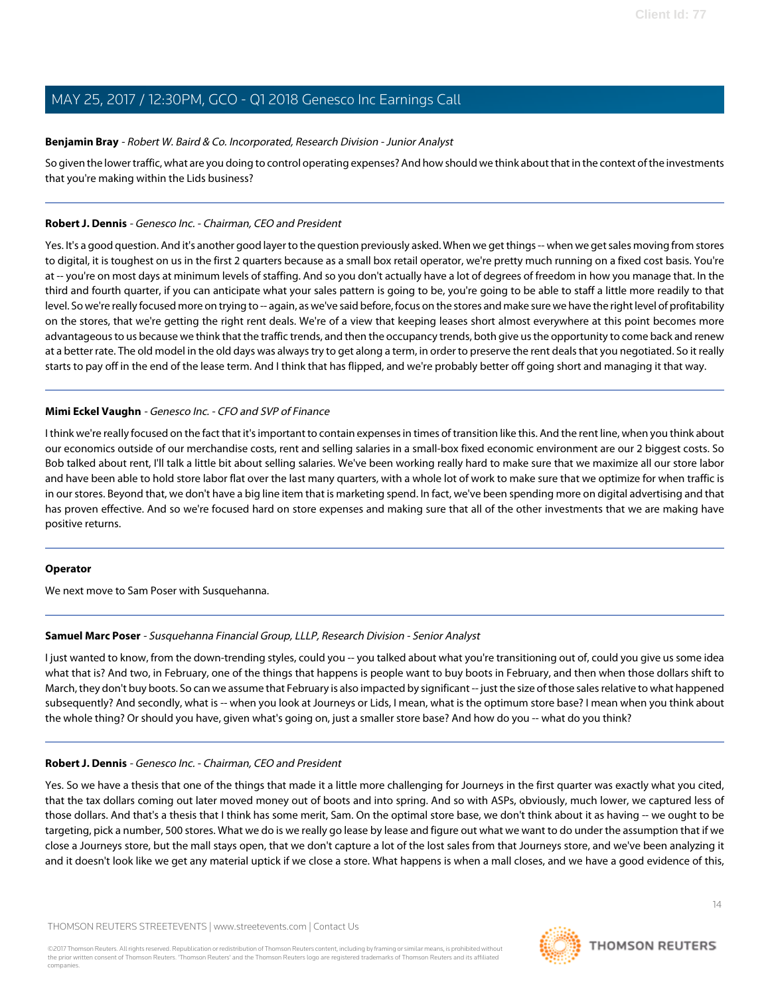#### <span id="page-13-0"></span>**Benjamin Bray** - Robert W. Baird & Co. Incorporated, Research Division - Junior Analyst

So given the lower traffic, what are you doing to control operating expenses? And how should we think about that in the context of the investments that you're making within the Lids business?

#### **Robert J. Dennis** - Genesco Inc. - Chairman, CEO and President

Yes. It's a good question. And it's another good layer to the question previously asked. When we get things -- when we get sales moving from stores to digital, it is toughest on us in the first 2 quarters because as a small box retail operator, we're pretty much running on a fixed cost basis. You're at -- you're on most days at minimum levels of staffing. And so you don't actually have a lot of degrees of freedom in how you manage that. In the third and fourth quarter, if you can anticipate what your sales pattern is going to be, you're going to be able to staff a little more readily to that level. So we're really focused more on trying to -- again, as we've said before, focus on the stores and make sure we have the right level of profitability on the stores, that we're getting the right rent deals. We're of a view that keeping leases short almost everywhere at this point becomes more advantageous to us because we think that the traffic trends, and then the occupancy trends, both give us the opportunity to come back and renew at a better rate. The old model in the old days was always try to get along a term, in order to preserve the rent deals that you negotiated. So it really starts to pay off in the end of the lease term. And I think that has flipped, and we're probably better off going short and managing it that way.

#### **Mimi Eckel Vaughn** - Genesco Inc. - CFO and SVP of Finance

I think we're really focused on the fact that it's important to contain expenses in times of transition like this. And the rent line, when you think about our economics outside of our merchandise costs, rent and selling salaries in a small-box fixed economic environment are our 2 biggest costs. So Bob talked about rent, I'll talk a little bit about selling salaries. We've been working really hard to make sure that we maximize all our store labor and have been able to hold store labor flat over the last many quarters, with a whole lot of work to make sure that we optimize for when traffic is in our stores. Beyond that, we don't have a big line item that is marketing spend. In fact, we've been spending more on digital advertising and that has proven effective. And so we're focused hard on store expenses and making sure that all of the other investments that we are making have positive returns.

#### **Operator**

We next move to Sam Poser with Susquehanna.

#### **Samuel Marc Poser** - Susquehanna Financial Group, LLLP, Research Division - Senior Analyst

I just wanted to know, from the down-trending styles, could you -- you talked about what you're transitioning out of, could you give us some idea what that is? And two, in February, one of the things that happens is people want to buy boots in February, and then when those dollars shift to March, they don't buy boots. So can we assume that February is also impacted by significant -- just the size of those sales relative to what happened subsequently? And secondly, what is -- when you look at Journeys or Lids, I mean, what is the optimum store base? I mean when you think about the whole thing? Or should you have, given what's going on, just a smaller store base? And how do you -- what do you think?

#### **Robert J. Dennis** - Genesco Inc. - Chairman, CEO and President

Yes. So we have a thesis that one of the things that made it a little more challenging for Journeys in the first quarter was exactly what you cited, that the tax dollars coming out later moved money out of boots and into spring. And so with ASPs, obviously, much lower, we captured less of those dollars. And that's a thesis that I think has some merit, Sam. On the optimal store base, we don't think about it as having -- we ought to be targeting, pick a number, 500 stores. What we do is we really go lease by lease and figure out what we want to do under the assumption that if we close a Journeys store, but the mall stays open, that we don't capture a lot of the lost sales from that Journeys store, and we've been analyzing it and it doesn't look like we get any material uptick if we close a store. What happens is when a mall closes, and we have a good evidence of this,